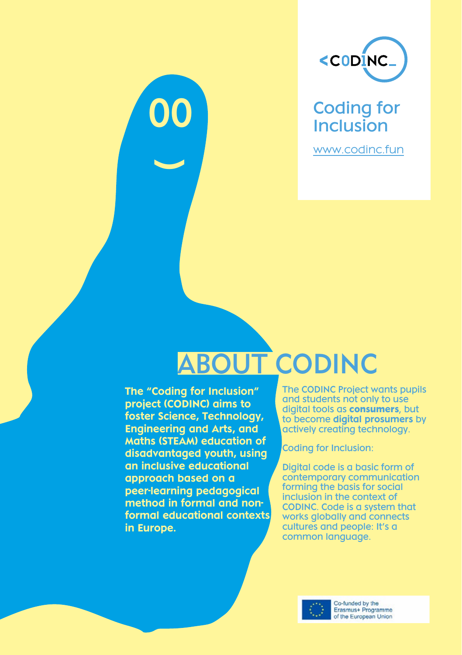

Coding for Inclusion

www.codinc.fun

# ABOUT CODINC

The "Coding for Inclusion" project (CODINC) aims to foster Science, Technology, Engineering and Arts, and Maths (STEAM) education of disadvantaged youth, using an inclusive educational approach based on a peer-learning pedagogical method in formal and nonformal educational contexts in Europe.

00

**)** 

The CODINC Project wants pupils and students not only to use digital tools as **consumers**, but to become digital prosumers by actively creating technology.

Coding for Inclusion:

Digital code is a basic form of contemporary communication forming the basis for social inclusion in the context of CODINC. Code is a system that works globally and connects cultures and people: It's a common language.



Co-funded by the Erasmus+ Programme of the European Union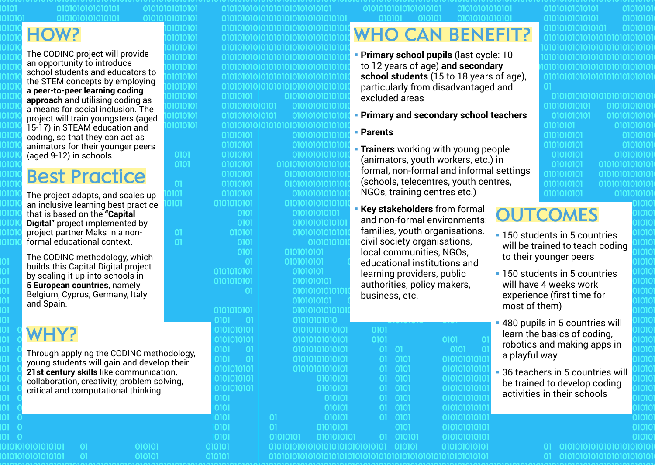01010101010101 <u>ololololololol</u>

01010101010101 01010101010101

01010101

01010101

וחוחוח וסוסומנ 1010101 וסוסומנ

וסוסוטו 1010101

1010101

01010101

01010101

0101

0101

 $\Omega$ 

101

**דסו** 

 $01$ 

 $01$ 

### HOW?

010

010

010.

010

010

010

The CODINC project will provide an opportunity to introduce school students and educators to the STEM concepts by employing **a peer-to-peer learning coding approach** and utilising coding as a means for social inclusion. The project will train youngsters (aged 15-17) in STEAM education and coding, so that they can act as animators for their younger peers (aged 9-12) in schools.

### Best Practice

The project adapts, and scales up an inclusive learning best practice that is based on the **"Capital Digital"** project implemented by project partner Maks in a nonformal educational context.

The CODINC methodology, which builds this Capital Digital project by scaling it up into schools in **5 European countries**, namely Belgium, Cyprus, Germany, Italy and Spain.

### WHY?

Through applying the CODINC methodology, young students will gain and develop their **21st century skills** like communication, collaboration, creativity, problem solving, critical and computational thinking.

010101

010101

|                       | 01010101010101010101010101      |                             |
|-----------------------|---------------------------------|-----------------------------|
|                       | 01010101010101010101010101010   |                             |
|                       | 01010101010101010101010101010   |                             |
|                       | 0101010101010101010101010101010 |                             |
|                       | 0101010101010101010101010101010 |                             |
|                       | 0101010101010101010101010101010 |                             |
|                       | 01010101010101010101010101010   |                             |
|                       | 0101010101010101010101010101010 |                             |
|                       | 01010101010101010101010101010   |                             |
| 01010101              |                                 | 0101010101010               |
| 01010101010101        |                                 | 0101010101010               |
| 01010101010101        |                                 | 0101010101010               |
|                       | 0101010101010101010101010101010 |                             |
| 01010101              |                                 | 0101010101010               |
| 01010101              |                                 | 0101010101010               |
| 01010101              |                                 | 0101010101010               |
| 01010101              |                                 | 010101010101010             |
| 01010101              |                                 | 010101010101010             |
| 01010101              |                                 | 010101010101010             |
| 01010101              |                                 | 0101010101010               |
| 0101010101            |                                 | 010101010101010             |
| 0101                  |                                 | 010101010101                |
| 0101                  |                                 | 0101010101010               |
| 010101                |                                 | 0101010101010               |
| 0101                  |                                 | 010101010                   |
| 0101                  | 0101010101                      |                             |
| $\overline{\text{O}}$ |                                 |                             |
| 0101010101            | 0101010101                      |                             |
| 0101010101            |                                 | 01010101                    |
| 01                    |                                 | 0101010101<br>0101010101010 |
|                       |                                 |                             |
| 0101010101            |                                 | 0101010101<br>0101010101010 |
| 0101 01               |                                 | 01010101010                 |
| 0101010101            |                                 | 0101010101010               |
| 0101010101            |                                 | 0101010101010               |
| 0101 -<br>01          |                                 | 0101010101010               |
|                       |                                 |                             |
| 0101 01               |                                 | 0101010101010               |
| 0101010101            |                                 | 0101010101010               |
| 0101010101            |                                 | 0101010                     |
| 0101010101            |                                 | 0101010                     |
| 0101                  |                                 | 01010                       |
| 0101                  |                                 | 01010                       |
| 0101                  | 01                              | 01010                       |
| 0101                  | 01                              | 0101010                     |
| 0101                  | 01010101                        | 0101010                     |

010101010101010101

### 010101010101

### WHO CAN BENEFIT?

- § **Primary school pupils** (last cycle: 10 to 12 years of age) **and secondary school students** (15 to 18 years of age), particularly from disadvantaged and excluded areas
- § **Primary and secondary school teachers**

### § **Parents**

**Trainers** working with young people (animators, youth workers, etc.) in formal, non-formal and informal settings (schools, telecentres, youth centres, NGOs, training centres etc.)

0101

0101

01010101010

01010101010

01010101010

01010101010

01010101010

01010101010

010101010101

010101010101

010101010101

0101010

§ **Key stakeholders** from formal and non-formal environments: families, youth organisations, civil society organisations, local communities, NGOs, educational institutions and learning providers, public authorities, policy makers, business, etc.

01010101010101 0101010 0101010 01010101010101 0101010 0101010101010101010101010 010101010101010101010101010 010101010101010101010101010

> 1010 1010.

1010.

1010

1010

1010. 1010

01010.

1010

1010.

1010

01010

01010

01010

01010

01010

### **OUTCOMES**

- 150 students in 5 countries will be trained to teach coding to their younger peers
- 150 students in 5 countries will have 4 weeks work experience (first time for most of them)
- § 480 pupils in 5 countries will learn the basics of coding, robotics and making apps in a playful way
- 36 teachers in 5 countries will be trained to develop coding activities in their schools

 $01$ 

 $01$ 01010101010101010101010

\_01010101010101010101010

0101

0101

 $\Omega$  $01$ 

 $01$ 

 $\Omega$ 

 $\Omega$ 

n.

 $0101$ 

0101

0101

0101

0101

0101

0101

0101

010101

- 0101

010101

01010

 $\Omega$ 0101010101010

 $\overline{0}$